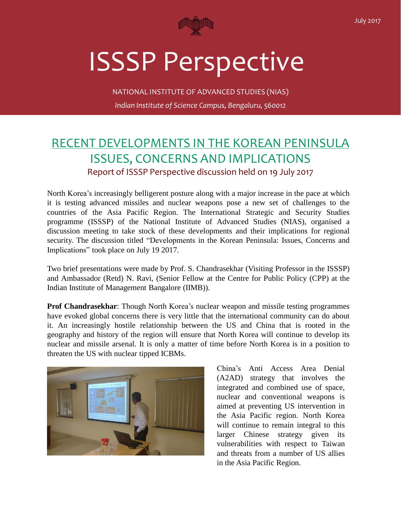

## ISSSP Perspective

NATIONAL INSTITUTE OF ADVANCED STUDIES (NIAS) *Indian Institute of Science Campus, Bengaluru, 560012*

## RECENT DEVELOPMENTS IN THE KOREAN PENINSULA ISSUES, CONCERNS AND IMPLICATIONS Report of ISSSP Perspective discussion held on 19 July 2017

North Korea's increasingly belligerent posture along with a major increase in the pace at which it is testing advanced missiles and nuclear weapons pose a new set of challenges to the countries of the Asia Pacific Region. The International Strategic and Security Studies programme (ISSSP) of the National Institute of Advanced Studies (NIAS), organised a discussion meeting to take stock of these developments and their implications for regional security. The discussion titled "Developments in the Korean Peninsula: Issues, Concerns and Implications" took place on July 19 2017.

Two brief presentations were made by Prof. S. Chandrasekhar (Visiting Professor in the ISSSP) and Ambassador (Retd) N. Ravi, (Senior Fellow at the Centre for Public Policy (CPP) at the Indian Institute of Management Bangalore (IIMB)).

**Prof Chandrasekhar**: Though North Korea's nuclear weapon and missile testing programmes have evoked global concerns there is very little that the international community can do about it. An increasingly hostile relationship between the US and China that is rooted in the geography and history of the region will ensure that North Korea will continue to develop its nuclear and missile arsenal. It is only a matter of time before North Korea is in a position to threaten the US with nuclear tipped ICBMs.



China's Anti Access Area Denial (A2AD) strategy that involves the integrated and combined use of space, nuclear and conventional weapons is aimed at preventing US intervention in the Asia Pacific region. North Korea will continue to remain integral to this larger Chinese strategy given its vulnerabilities with respect to Taiwan and threats from a number of US allies in the Asia Pacific Region.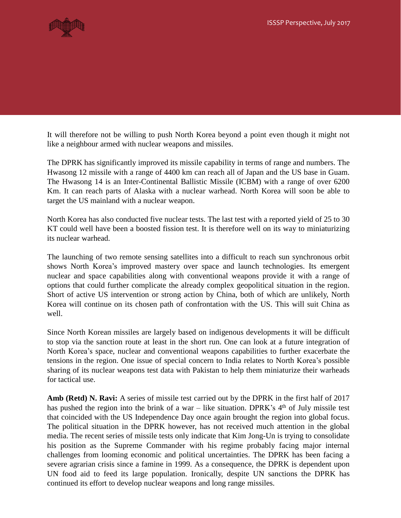

It will therefore not be willing to push North Korea beyond a point even though it might not like a neighbour armed with nuclear weapons and missiles.

The DPRK has significantly improved its missile capability in terms of range and numbers. The Hwasong 12 missile with a range of 4400 km can reach all of Japan and the US base in Guam. The Hwasong 14 is an Inter-Continental Ballistic Missile (ICBM) with a range of over 6200 Km. It can reach parts of Alaska with a nuclear warhead. North Korea will soon be able to target the US mainland with a nuclear weapon.

North Korea has also conducted five nuclear tests. The last test with a reported yield of 25 to 30 KT could well have been a boosted fission test. It is therefore well on its way to miniaturizing its nuclear warhead.

The launching of two remote sensing satellites into a difficult to reach sun synchronous orbit shows North Korea's improved mastery over space and launch technologies. Its emergent nuclear and space capabilities along with conventional weapons provide it with a range of options that could further complicate the already complex geopolitical situation in the region. Short of active US intervention or strong action by China, both of which are unlikely, North Korea will continue on its chosen path of confrontation with the US. This will suit China as well.

Since North Korean missiles are largely based on indigenous developments it will be difficult to stop via the sanction route at least in the short run. One can look at a future integration of North Korea's space, nuclear and conventional weapons capabilities to further exacerbate the tensions in the region. One issue of special concern to India relates to North Korea's possible sharing of its nuclear weapons test data with Pakistan to help them miniaturize their warheads for tactical use.

**Amb (Retd) N. Ravi:** A series of missile test carried out by the DPRK in the first half of 2017 has pushed the region into the brink of a war – like situation. DPRK's  $4<sup>th</sup>$  of July missile test that coincided with the US Independence Day once again brought the region into global focus. The political situation in the DPRK however, has not received much attention in the global media. The recent series of missile tests only indicate that Kim Jong-Un is trying to consolidate his position as the Supreme Commander with his regime probably facing major internal challenges from looming economic and political uncertainties. The DPRK has been facing a severe agrarian crisis since a famine in 1999. As a consequence, the DPRK is dependent upon UN food aid to feed its large population. Ironically, despite UN sanctions the DPRK has continued its effort to develop nuclear weapons and long range missiles.